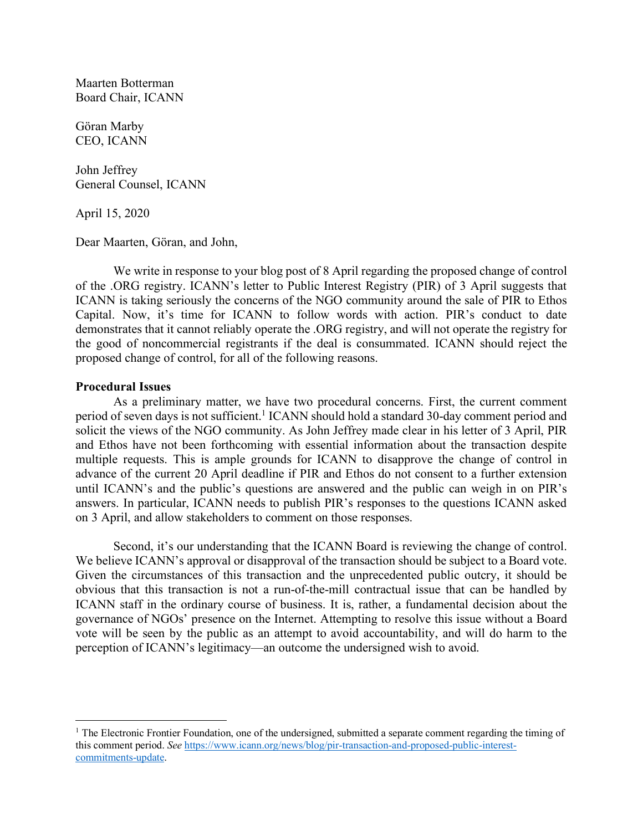Maarten Botterman Board Chair, ICANN

Göran Marby CEO, ICANN

John Jeffrey General Counsel, ICANN

April 15, 2020

Dear Maarten, Göran, and John,

We write in response to your blog post of 8 April regarding the proposed change of control of the .ORG registry. ICANN's letter to Public Interest Registry (PIR) of 3 April suggests that ICANN is taking seriously the concerns of the NGO community around the sale of PIR to Ethos Capital. Now, it's time for ICANN to follow words with action. PIR's conduct to date demonstrates that it cannot reliably operate the .ORG registry, and will not operate the registry for the good of noncommercial registrants if the deal is consummated. ICANN should reject the proposed change of control, for all of the following reasons.

## **Procedural Issues**

 $\overline{a}$ 

As a preliminary matter, we have two procedural concerns. First, the current comment period of seven days is not sufficient.<sup>1</sup> ICANN should hold a standard 30-day comment period and solicit the views of the NGO community. As John Jeffrey made clear in his letter of 3 April, PIR and Ethos have not been forthcoming with essential information about the transaction despite multiple requests. This is ample grounds for ICANN to disapprove the change of control in advance of the current 20 April deadline if PIR and Ethos do not consent to a further extension until ICANN's and the public's questions are answered and the public can weigh in on PIR's answers. In particular, ICANN needs to publish PIR's responses to the questions ICANN asked on 3 April, and allow stakeholders to comment on those responses.

Second, it's our understanding that the ICANN Board is reviewing the change of control. We believe ICANN's approval or disapproval of the transaction should be subject to a Board vote. Given the circumstances of this transaction and the unprecedented public outcry, it should be obvious that this transaction is not a run-of-the-mill contractual issue that can be handled by ICANN staff in the ordinary course of business. It is, rather, a fundamental decision about the governance of NGOs' presence on the Internet. Attempting to resolve this issue without a Board vote will be seen by the public as an attempt to avoid accountability, and will do harm to the perception of ICANN's legitimacy—an outcome the undersigned wish to avoid.

<sup>&</sup>lt;sup>1</sup> The Electronic Frontier Foundation, one of the undersigned, submitted a separate comment regarding the timing of this comment period. *See* https://www.icann.org/news/blog/pir-transaction-and-proposed-public-interestcommitments-update.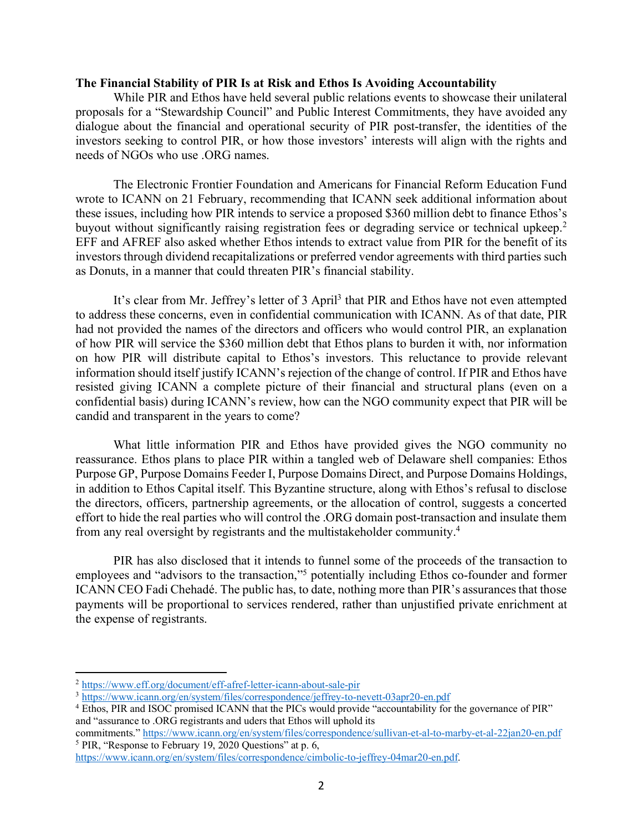## **The Financial Stability of PIR Is at Risk and Ethos Is Avoiding Accountability**

While PIR and Ethos have held several public relations events to showcase their unilateral proposals for a "Stewardship Council" and Public Interest Commitments, they have avoided any dialogue about the financial and operational security of PIR post-transfer, the identities of the investors seeking to control PIR, or how those investors' interests will align with the rights and needs of NGOs who use .ORG names.

The Electronic Frontier Foundation and Americans for Financial Reform Education Fund wrote to ICANN on 21 February, recommending that ICANN seek additional information about these issues, including how PIR intends to service a proposed \$360 million debt to finance Ethos's buyout without significantly raising registration fees or degrading service or technical upkeep.<sup>2</sup> EFF and AFREF also asked whether Ethos intends to extract value from PIR for the benefit of its investors through dividend recapitalizations or preferred vendor agreements with third parties such as Donuts, in a manner that could threaten PIR's financial stability.

It's clear from Mr. Jeffrey's letter of 3 April<sup>3</sup> that PIR and Ethos have not even attempted to address these concerns, even in confidential communication with ICANN. As of that date, PIR had not provided the names of the directors and officers who would control PIR, an explanation of how PIR will service the \$360 million debt that Ethos plans to burden it with, nor information on how PIR will distribute capital to Ethos's investors. This reluctance to provide relevant information should itself justify ICANN's rejection of the change of control. If PIR and Ethos have resisted giving ICANN a complete picture of their financial and structural plans (even on a confidential basis) during ICANN's review, how can the NGO community expect that PIR will be candid and transparent in the years to come?

What little information PIR and Ethos have provided gives the NGO community no reassurance. Ethos plans to place PIR within a tangled web of Delaware shell companies: Ethos Purpose GP, Purpose Domains Feeder I, Purpose Domains Direct, and Purpose Domains Holdings, in addition to Ethos Capital itself. This Byzantine structure, along with Ethos's refusal to disclose the directors, officers, partnership agreements, or the allocation of control, suggests a concerted effort to hide the real parties who will control the .ORG domain post-transaction and insulate them from any real oversight by registrants and the multistakeholder community.4

PIR has also disclosed that it intends to funnel some of the proceeds of the transaction to employees and "advisors to the transaction,"5 potentially including Ethos co-founder and former ICANN CEO Fadi Chehadé. The public has, to date, nothing more than PIR's assurances that those payments will be proportional to services rendered, rather than unjustified private enrichment at the expense of registrants.

 $\overline{a}$ 

commitments." https://www.icann.org/en/system/files/correspondence/sullivan-et-al-to-marby-et-al-22jan20-en.pdf <sup>5</sup> PIR, "Response to February 19, 2020 Questions" at p. 6,

<sup>2</sup> https://www.eff.org/document/eff-afref-letter-icann-about-sale-pir

<sup>3</sup> https://www.icann.org/en/system/files/correspondence/jeffrey-to-nevett-03apr20-en.pdf

<sup>4</sup> Ethos, PIR and ISOC promised ICANN that the PICs would provide "accountability for the governance of PIR" and "assurance to .ORG registrants and uders that Ethos will uphold its

https://www.icann.org/en/system/files/correspondence/cimbolic-to-jeffrey-04mar20-en.pdf.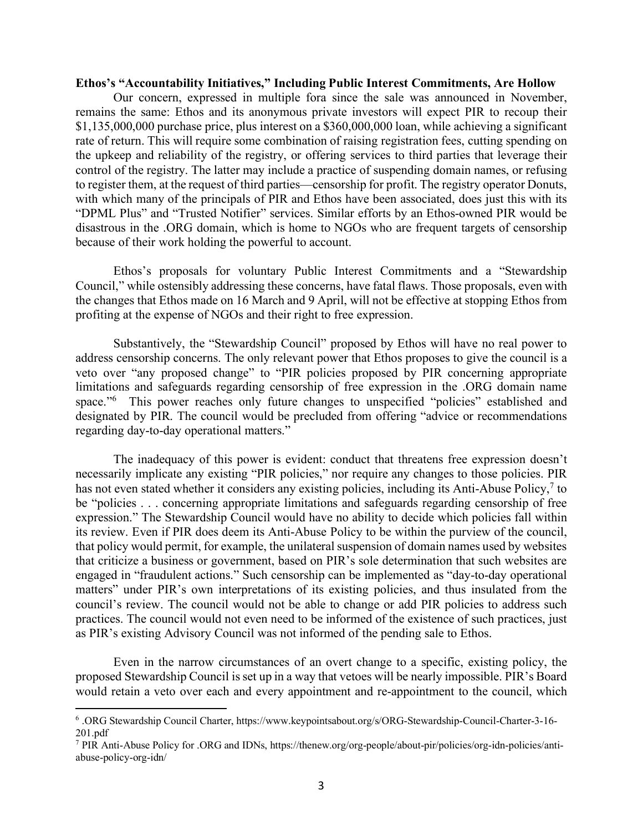## **Ethos's "Accountability Initiatives," Including Public Interest Commitments, Are Hollow**

Our concern, expressed in multiple fora since the sale was announced in November, remains the same: Ethos and its anonymous private investors will expect PIR to recoup their \$1,135,000,000 purchase price, plus interest on a \$360,000,000 loan, while achieving a significant rate of return. This will require some combination of raising registration fees, cutting spending on the upkeep and reliability of the registry, or offering services to third parties that leverage their control of the registry. The latter may include a practice of suspending domain names, or refusing to register them, at the request of third parties—censorship for profit. The registry operator Donuts, with which many of the principals of PIR and Ethos have been associated, does just this with its "DPML Plus" and "Trusted Notifier" services. Similar efforts by an Ethos-owned PIR would be disastrous in the .ORG domain, which is home to NGOs who are frequent targets of censorship because of their work holding the powerful to account.

Ethos's proposals for voluntary Public Interest Commitments and a "Stewardship Council," while ostensibly addressing these concerns, have fatal flaws. Those proposals, even with the changes that Ethos made on 16 March and 9 April, will not be effective at stopping Ethos from profiting at the expense of NGOs and their right to free expression.

Substantively, the "Stewardship Council" proposed by Ethos will have no real power to address censorship concerns. The only relevant power that Ethos proposes to give the council is a veto over "any proposed change" to "PIR policies proposed by PIR concerning appropriate limitations and safeguards regarding censorship of free expression in the .ORG domain name space."<sup>6</sup> This power reaches only future changes to unspecified "policies" established and designated by PIR. The council would be precluded from offering "advice or recommendations regarding day-to-day operational matters."

The inadequacy of this power is evident: conduct that threatens free expression doesn't necessarily implicate any existing "PIR policies," nor require any changes to those policies. PIR has not even stated whether it considers any existing policies, including its Anti-Abuse Policy,<sup>7</sup> to be "policies . . . concerning appropriate limitations and safeguards regarding censorship of free expression." The Stewardship Council would have no ability to decide which policies fall within its review. Even if PIR does deem its Anti-Abuse Policy to be within the purview of the council, that policy would permit, for example, the unilateral suspension of domain names used by websites that criticize a business or government, based on PIR's sole determination that such websites are engaged in "fraudulent actions." Such censorship can be implemented as "day-to-day operational matters" under PIR's own interpretations of its existing policies, and thus insulated from the council's review. The council would not be able to change or add PIR policies to address such practices. The council would not even need to be informed of the existence of such practices, just as PIR's existing Advisory Council was not informed of the pending sale to Ethos.

Even in the narrow circumstances of an overt change to a specific, existing policy, the proposed Stewardship Council is set up in a way that vetoes will be nearly impossible. PIR's Board would retain a veto over each and every appointment and re-appointment to the council, which

 $\overline{a}$ 

<sup>6</sup> .ORG Stewardship Council Charter, https://www.keypointsabout.org/s/ORG-Stewardship-Council-Charter-3-16- 201.pdf

<sup>7</sup> PIR Anti-Abuse Policy for .ORG and IDNs, https://thenew.org/org-people/about-pir/policies/org-idn-policies/antiabuse-policy-org-idn/